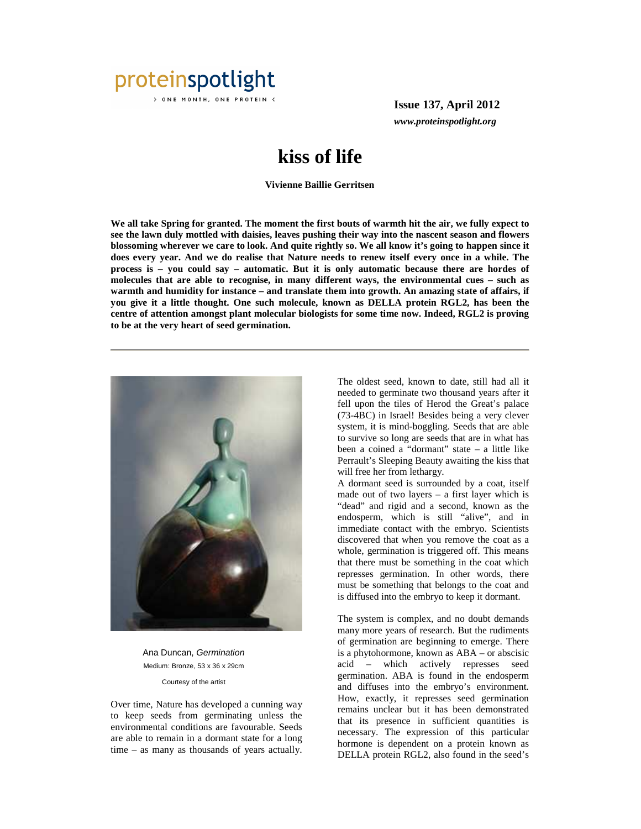

> ONE MONTH, ONE PROTEIN <

**Issue 137, April 2012** *www.proteinspotlight.org*

## **kiss of life**

**Vivienne Baillie Gerritsen** 

**We all take Spring for granted. The moment the first bouts of warmth hit the air, we fully expect to see the lawn duly mottled with daisies, leaves pushing their way into the nascent season and flowers blossoming wherever we care to look. And quite rightly so. We all know it's going to happen since it does every year. And we do realise that Nature needs to renew itself every once in a while. The process is – you could say – automatic. But it is only automatic because there are hordes of molecules that are able to recognise, in many different ways, the environmental cues – such as warmth and humidity for instance – and translate them into growth. An amazing state of affairs, if you give it a little thought. One such molecule, known as DELLA protein RGL2, has been the centre of attention amongst plant molecular biologists for some time now. Indeed, RGL2 is proving to be at the very heart of seed germination.** 



Ana Duncan, Germination Medium: Bronze, 53 x 36 x 29cm Courtesy of the artist

Over time, Nature has developed a cunning way to keep seeds from germinating unless the environmental conditions are favourable. Seeds are able to remain in a dormant state for a long time – as many as thousands of years actually.

The oldest seed, known to date, still had all it needed to germinate two thousand years after it fell upon the tiles of Herod the Great's palace (73-4BC) in Israel! Besides being a very clever system, it is mind-boggling. Seeds that are able to survive so long are seeds that are in what has been a coined a "dormant" state – a little like Perrault's Sleeping Beauty awaiting the kiss that will free her from lethargy.

A dormant seed is surrounded by a coat, itself made out of two layers – a first layer which is "dead" and rigid and a second, known as the endosperm, which is still "alive", and in immediate contact with the embryo. Scientists discovered that when you remove the coat as a whole, germination is triggered off. This means that there must be something in the coat which represses germination. In other words, there must be something that belongs to the coat and is diffused into the embryo to keep it dormant.

The system is complex, and no doubt demands many more years of research. But the rudiments of germination are beginning to emerge. There is a phytohormone, known as ABA – or abscisic acid – which actively represses seed germination. ABA is found in the endosperm and diffuses into the embryo's environment. How, exactly, it represses seed germination remains unclear but it has been demonstrated that its presence in sufficient quantities is necessary. The expression of this particular hormone is dependent on a protein known as DELLA protein RGL2, also found in the seed's